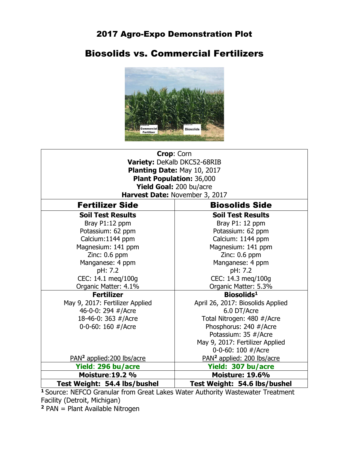## 2017 Agro-Expo Demonstration Plot

# Biosolids vs. Commercial Fertilizers



| Crop: Corn                             |                                        |  |  |  |  |  |  |  |  |  |
|----------------------------------------|----------------------------------------|--|--|--|--|--|--|--|--|--|
| Variety: DeKalb DKC52-68RIB            |                                        |  |  |  |  |  |  |  |  |  |
| Planting Date: May 10, 2017            |                                        |  |  |  |  |  |  |  |  |  |
| <b>Plant Population: 36,000</b>        |                                        |  |  |  |  |  |  |  |  |  |
| Yield Goal: 200 bu/acre                |                                        |  |  |  |  |  |  |  |  |  |
| Harvest Date: November 3, 2017         |                                        |  |  |  |  |  |  |  |  |  |
| <b>Fertilizer Side</b>                 | <b>Biosolids Side</b>                  |  |  |  |  |  |  |  |  |  |
| <b>Soil Test Results</b>               | <b>Soil Test Results</b>               |  |  |  |  |  |  |  |  |  |
| Bray P1:12 ppm                         | Bray P1: 12 ppm                        |  |  |  |  |  |  |  |  |  |
| Potassium: 62 ppm                      | Potassium: 62 ppm                      |  |  |  |  |  |  |  |  |  |
| Calcium: 1144 ppm                      | Calcium: 1144 ppm                      |  |  |  |  |  |  |  |  |  |
| Magnesium: 141 ppm                     | Magnesium: 141 ppm                     |  |  |  |  |  |  |  |  |  |
| Zinc: 0.6 ppm                          | Zinc: 0.6 ppm                          |  |  |  |  |  |  |  |  |  |
| Manganese: 4 ppm                       | Manganese: 4 ppm                       |  |  |  |  |  |  |  |  |  |
| pH: 7.2                                | pH: 7.2                                |  |  |  |  |  |  |  |  |  |
| CEC: 14.1 meg/100g                     | CEC: 14.3 meg/100g                     |  |  |  |  |  |  |  |  |  |
| Organic Matter: 4.1%                   | Organic Matter: 5.3%                   |  |  |  |  |  |  |  |  |  |
| <b>Fertilizer</b>                      | Biosolids <sup>1</sup>                 |  |  |  |  |  |  |  |  |  |
| May 9, 2017: Fertilizer Applied        | April 26, 2017: Biosolids Applied      |  |  |  |  |  |  |  |  |  |
| 46-0-0: 294 #/Acre                     | 6.0 DT/Acre                            |  |  |  |  |  |  |  |  |  |
| 18-46-0: 363 #/Acre                    | Total Nitrogen: 480 #/Acre             |  |  |  |  |  |  |  |  |  |
| 0-0-60: 160 #/Acre                     | Phosphorus: 240 #/Acre                 |  |  |  |  |  |  |  |  |  |
|                                        | Potassium: 35 #/Acre                   |  |  |  |  |  |  |  |  |  |
|                                        | May 9, 2017: Fertilizer Applied        |  |  |  |  |  |  |  |  |  |
|                                        | 0-0-60: 100 #/Acre                     |  |  |  |  |  |  |  |  |  |
| PAN <sup>2</sup> applied: 200 lbs/acre | PAN <sup>2</sup> applied: 200 lbs/acre |  |  |  |  |  |  |  |  |  |
| Yield: 296 bu/acre                     | Yield: 307 bu/acre                     |  |  |  |  |  |  |  |  |  |
| <b>Moisture: 19.2 %</b>                | <b>Moisture: 19.6%</b>                 |  |  |  |  |  |  |  |  |  |
| Test Weight: 54.4 lbs/bushel           | Test Weight: 54.6 lbs/bushel           |  |  |  |  |  |  |  |  |  |

**<sup>1</sup>**Source: NEFCO Granular from Great Lakes Water Authority Wastewater Treatment Facility (Detroit, Michigan)

**2** PAN = Plant Available Nitrogen